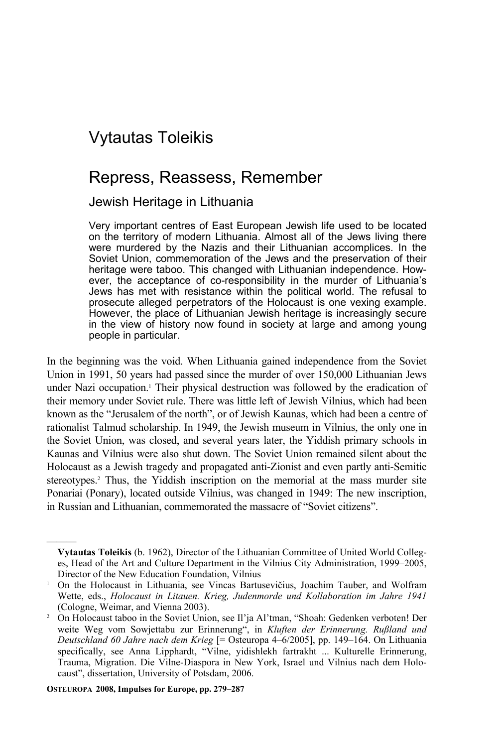# Vytautas Toleikis

## Repress, Reassess, Remember

## Jewish Heritage in Lithuania

Very important centres of East European Jewish life used to be located on the territory of modern Lithuania. Almost all of the Jews living there were murdered by the Nazis and their Lithuanian accomplices. In the Soviet Union, commemoration of the Jews and the preservation of their heritage were taboo. This changed with Lithuanian independence. However, the acceptance of co-responsibility in the murder of Lithuania's Jews has met with resistance within the political world. The refusal to prosecute alleged perpetrators of the Holocaust is one vexing example. However, the place of Lithuanian Jewish heritage is increasingly secure in the view of history now found in society at large and among young people in particular.

In the beginning was the void. When Lithuania gained independence from the Soviet Union in 1991, 50 years had passed since the murder of over 150,000 Lithuanian Jews under Nazi occupation.<sup>1</sup> Their physical destruction was followed by the eradication of their memory under Soviet rule. There was little left of Jewish Vilnius, which had been known as the "Jerusalem of the north", or of Jewish Kaunas, which had been a centre of rationalist Talmud scholarship. In 1949, the Jewish museum in Vilnius, the only one in the Soviet Union, was closed, and several years later, the Yiddish primary schools in Kaunas and Vilnius were also shut down. The Soviet Union remained silent about the Holocaust as a Jewish tragedy and propagated anti-Zionist and even partly anti-Semitic stereotypes.<sup>2</sup> Thus, the Yiddish inscription on the memorial at the mass murder site Ponariai (Ponary), located outside Vilnius, was changed in 1949: The new inscription, in Russian and Lithuanian, commemorated the massacre of "Soviet citizens".

**OSTEUROPA 2008, Impulses for Europe, pp. 279–287** 

**Vytautas Toleikis** (b. 1962), Director of the Lithuanian Committee of United World Colleges, Head of the Art and Culture Department in the Vilnius City Administration, 1999–2005, Director of the New Education Foundation, Vilnius 1

<sup>&</sup>lt;sup>1</sup> On the Holocaust in Lithuania, see Vincas Bartusevičius, Joachim Tauber, and Wolfram Wette, eds., *Holocaust in Litauen. Krieg, Judenmorde und Kollaboration im Jahre 1941* (Cologne, Weimar, and Vienna 2003). 2

<sup>&</sup>lt;sup>2</sup> On Holocaust taboo in the Soviet Union, see Il'ja Al'tman, "Shoah: Gedenken verboten! Der weite Weg vom Sowjettabu zur Erinnerung", in *Kluften der Erinnerung. Rußland und Deutschland 60 Jahre nach dem Krieg* [= Osteuropa 4–6/2005], pp. 149–164. On Lithuania specifically, see Anna Lipphardt, "Vilne, yidishlekh fartrakht ... Kulturelle Erinnerung, Trauma, Migration. Die Vilne-Diaspora in New York, Israel und Vilnius nach dem Holocaust", dissertation, University of Potsdam, 2006.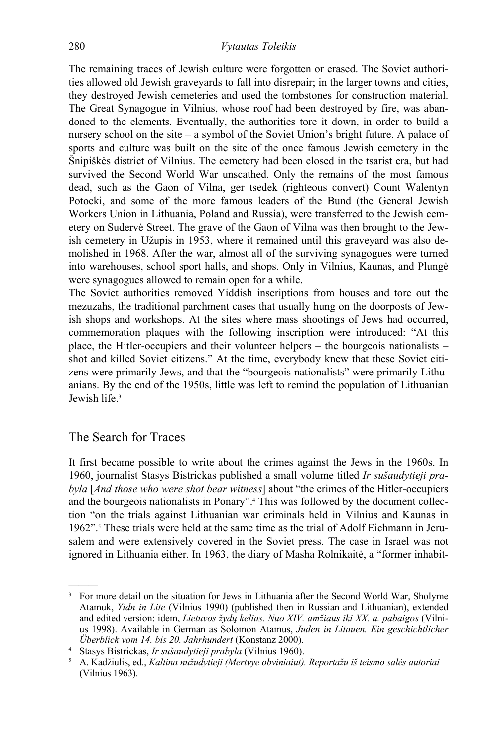The remaining traces of Jewish culture were forgotten or erased. The Soviet authorities allowed old Jewish graveyards to fall into disrepair; in the larger towns and cities, they destroyed Jewish cemeteries and used the tombstones for construction material. The Great Synagogue in Vilnius, whose roof had been destroyed by fire, was abandoned to the elements. Eventually, the authorities tore it down, in order to build a nursery school on the site – a symbol of the Soviet Union's bright future. A palace of sports and culture was built on the site of the once famous Jewish cemetery in the Šnipiškės district of Vilnius. The cemetery had been closed in the tsarist era, but had survived the Second World War unscathed. Only the remains of the most famous dead, such as the Gaon of Vilna, ger tsedek (righteous convert) Count Walentyn Potocki, and some of the more famous leaders of the Bund (the General Jewish Workers Union in Lithuania, Poland and Russia), were transferred to the Jewish cemetery on Sudervė Street. The grave of the Gaon of Vilna was then brought to the Jewish cemetery in Užupis in 1953, where it remained until this graveyard was also demolished in 1968. After the war, almost all of the surviving synagogues were turned into warehouses, school sport halls, and shops. Only in Vilnius, Kaunas, and Plungė were synagogues allowed to remain open for a while.

The Soviet authorities removed Yiddish inscriptions from houses and tore out the mezuzahs, the traditional parchment cases that usually hung on the doorposts of Jewish shops and workshops. At the sites where mass shootings of Jews had occurred, commemoration plaques with the following inscription were introduced: "At this place, the Hitler-occupiers and their volunteer helpers – the bourgeois nationalists – shot and killed Soviet citizens." At the time, everybody knew that these Soviet citizens were primarily Jews, and that the "bourgeois nationalists" were primarily Lithuanians. By the end of the 1950s, little was left to remind the population of Lithuanian Jewish life.<sup>3</sup>

## The Search for Traces

———

It first became possible to write about the crimes against the Jews in the 1960s. In 1960, journalist Stasys Bistrickas published a small volume titled *Ir sušaudytieji prabyla* [*And those who were shot bear witness*] about "the crimes of the Hitler-occupiers and the bourgeois nationalists in Ponary".4 This was followed by the document collection "on the trials against Lithuanian war criminals held in Vilnius and Kaunas in 1962".<sup>5</sup> These trials were held at the same time as the trial of Adolf Eichmann in Jerusalem and were extensively covered in the Soviet press. The case in Israel was not ignored in Lithuania either. In 1963, the diary of Masha Rolnikaitė, a "former inhabit-

<sup>3</sup> For more detail on the situation for Jews in Lithuania after the Second World War, Sholyme Atamuk, *Yidn in Lite* (Vilnius 1990) (published then in Russian and Lithuanian), extended and edited version: idem, *Lietuvos žydų kelias. Nuo XIV. amžiaus iki XX. a. pabaigos* (Vilnius 1998). Available in German as Solomon Atamus, *Juden in Litauen. Ein geschichtlicher Überblick vom 14. bis 20. Jahrhundert* (Konstanz 2000). 4

Stasys Bistrickas, *Ir sušaudytieji prabyla* (Vilnius 1960). 5

A. Kadžiulis, ed., *Kaltina nužudytieji (Mertvye obviniaiut). Reportažu iš teismo salės autoriai* (Vilnius 1963).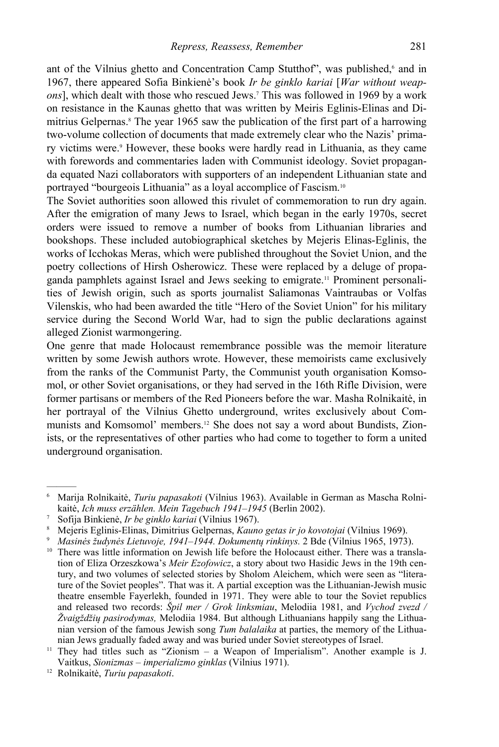ant of the Vilnius ghetto and Concentration Camp Stutthof", was published,<sup>6</sup> and in 1967, there appeared Sofia Binkienė's book *Ir be ginklo kariai* [*War without weapons*], which dealt with those who rescued Jews.7 This was followed in 1969 by a work on resistance in the Kaunas ghetto that was written by Meiris Eglinis-Elinas and Dimitrius Gelpernas.<sup>8</sup> The year 1965 saw the publication of the first part of a harrowing two-volume collection of documents that made extremely clear who the Nazis' primary victims were.<sup>9</sup> However, these books were hardly read in Lithuania, as they came with forewords and commentaries laden with Communist ideology. Soviet propaganda equated Nazi collaborators with supporters of an independent Lithuanian state and portrayed "bourgeois Lithuania" as a loyal accomplice of Fascism.10

The Soviet authorities soon allowed this rivulet of commemoration to run dry again. After the emigration of many Jews to Israel, which began in the early 1970s, secret orders were issued to remove a number of books from Lithuanian libraries and bookshops. These included autobiographical sketches by Mejeris Elinas-Eglinis, the works of Icchokas Meras, which were published throughout the Soviet Union, and the poetry collections of Hirsh Osherowicz. These were replaced by a deluge of propaganda pamphlets against Israel and Jews seeking to emigrate.11 Prominent personalities of Jewish origin, such as sports journalist Saliamonas Vaintraubas or Volfas Vilenskis, who had been awarded the title "Hero of the Soviet Union" for his military service during the Second World War, had to sign the public declarations against alleged Zionist warmongering.

One genre that made Holocaust remembrance possible was the memoir literature written by some Jewish authors wrote. However, these memoirists came exclusively from the ranks of the Communist Party, the Communist youth organisation Komsomol, or other Soviet organisations, or they had served in the 16th Rifle Division, were former partisans or members of the Red Pioneers before the war. Masha Rolnikaitė, in her portrayal of the Vilnius Ghetto underground, writes exclusively about Communists and Komsomol' members.12 She does not say a word about Bundists, Zionists, or the representatives of other parties who had come to together to form a united underground organisation.

<sup>6</sup> Marija Rolnikaitė, *Turiu papasakoti* (Vilnius 1963). Available in German as Mascha Rolnikaitė, *Ich muss erzählen. Mein Tagebuch 1941–1945* (Berlin 2002). 7

<sup>&</sup>lt;sup>7</sup> Sofija Binkienė, *Ir be ginklo kariai* (Vilnius 1967).<br><sup>8</sup> Mejeris Eglinis-Elinas, Dimitrius Gelpernas, *Kauno getas ir jo kovotojai* (Vilnius 1969).

<sup>&</sup>lt;sup>9</sup> Masinės žudynės Lietuvoje, 1941–1944. Dokumentų rinkinys. 2 Bde (Vilnius 1965, 1973).<br><sup>10</sup> There was little information on Jewish life before the Holocaust either. There was a translation of Eliza Orzeszkowa's *Meir Ezofowicz*, a story about two Hasidic Jews in the 19th century, and two volumes of selected stories by Sholom Aleichem, which were seen as "literature of the Soviet peoples". That was it. A partial exception was the Lithuanian-Jewish music theatre ensemble Fayerlekh, founded in 1971. They were able to tour the Soviet republics and released two records: *Špil mer / Grok linksmiau*, Melodiia 1981, and *Vychod zvezd / Žvaigždžių pasirodymas,* Melodiia 1984. But although Lithuanians happily sang the Lithuanian version of the famous Jewish song *Tum balalaika* at parties, the memory of the Lithuanian Jews gradually faded away and was buried under Soviet stereotypes of Israel. 11 They had titles such as "Zionism – a Weapon of Imperialism". Another example is J.

Vaitkus, *Sionizmas – imperializmo ginklas* (Vilnius 1971). 12 Rolnikaitė, *Turiu papasakoti*.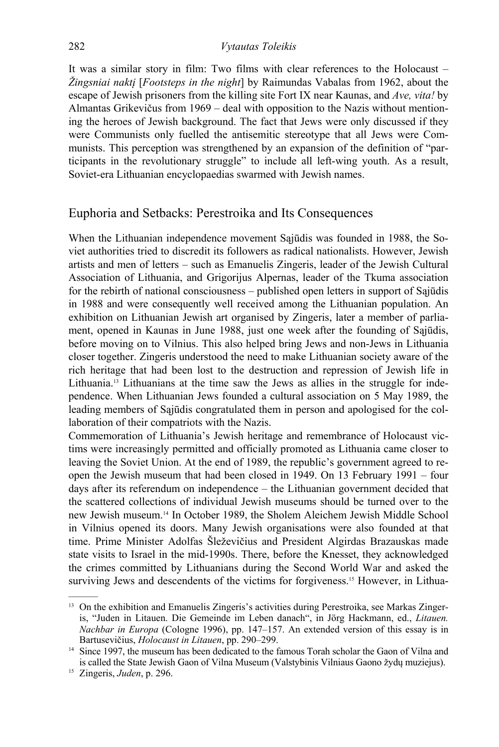#### 282 *Vytautas Toleikis*

It was a similar story in film: Two films with clear references to the Holocaust – *Žingsniai naktį* [*Footsteps in the night*] by Raimundas Vabalas from 1962, about the escape of Jewish prisoners from the killing site Fort IX near Kaunas, and *Ave, vita!* by Almantas Grikevičus from 1969 – deal with opposition to the Nazis without mentioning the heroes of Jewish background. The fact that Jews were only discussed if they were Communists only fuelled the antisemitic stereotype that all Jews were Communists. This perception was strengthened by an expansion of the definition of "participants in the revolutionary struggle" to include all left-wing youth. As a result, Soviet-era Lithuanian encyclopaedias swarmed with Jewish names.

## Euphoria and Setbacks: Perestroika and Its Consequences

When the Lithuanian independence movement Sąjūdis was founded in 1988, the Soviet authorities tried to discredit its followers as radical nationalists. However, Jewish artists and men of letters – such as Emanuelis Zingeris, leader of the Jewish Cultural Association of Lithuania, and Grigorijus Alpernas, leader of the Tkuma association for the rebirth of national consciousness – published open letters in support of Sąjūdis in 1988 and were consequently well received among the Lithuanian population. An exhibition on Lithuanian Jewish art organised by Zingeris, later a member of parliament, opened in Kaunas in June 1988, just one week after the founding of Sajūdis, before moving on to Vilnius. This also helped bring Jews and non-Jews in Lithuania closer together. Zingeris understood the need to make Lithuanian society aware of the rich heritage that had been lost to the destruction and repression of Jewish life in Lithuania.13 Lithuanians at the time saw the Jews as allies in the struggle for independence. When Lithuanian Jews founded a cultural association on 5 May 1989, the leading members of Sąjūdis congratulated them in person and apologised for the collaboration of their compatriots with the Nazis.

Commemoration of Lithuania's Jewish heritage and remembrance of Holocaust victims were increasingly permitted and officially promoted as Lithuania came closer to leaving the Soviet Union. At the end of 1989, the republic's government agreed to reopen the Jewish museum that had been closed in 1949. On 13 February 1991 – four days after its referendum on independence – the Lithuanian government decided that the scattered collections of individual Jewish museums should be turned over to the new Jewish museum.14 In October 1989, the Sholem Aleichem Jewish Middle School in Vilnius opened its doors. Many Jewish organisations were also founded at that time. Prime Minister Adolfas Šleževičius and President Algirdas Brazauskas made state visits to Israel in the mid-1990s. There, before the Knesset, they acknowledged the crimes committed by Lithuanians during the Second World War and asked the surviving Jews and descendents of the victims for forgiveness.15 However, in Lithua-

<sup>&</sup>lt;sup>13</sup> On the exhibition and Emanuelis Zingeris's activities during Perestroika, see Markas Zingeris, "Juden in Litauen. Die Gemeinde im Leben danach", in Jörg Hackmann, ed., *Litauen. Nachbar in Europa* (Cologne 1996), pp. 147–157. An extended version of this essay is in Bartusevičius, *Holocaust in Litauen*, pp. 290–299.<br><sup>14</sup> Since 1997, the museum has been dedicated to the famous Torah scholar the Gaon of Vilna and

is called the State Jewish Gaon of Vilna Museum (Valstybinis Vilniaus Gaono žydų muziejus). 15 Zingeris, *Juden*, p. 296.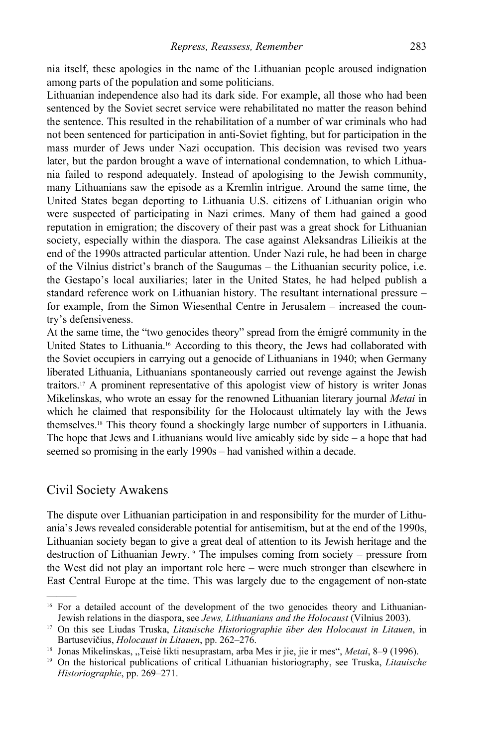nia itself, these apologies in the name of the Lithuanian people aroused indignation among parts of the population and some politicians.

Lithuanian independence also had its dark side. For example, all those who had been sentenced by the Soviet secret service were rehabilitated no matter the reason behind the sentence. This resulted in the rehabilitation of a number of war criminals who had not been sentenced for participation in anti-Soviet fighting, but for participation in the mass murder of Jews under Nazi occupation. This decision was revised two years later, but the pardon brought a wave of international condemnation, to which Lithuania failed to respond adequately. Instead of apologising to the Jewish community, many Lithuanians saw the episode as a Kremlin intrigue. Around the same time, the United States began deporting to Lithuania U.S. citizens of Lithuanian origin who were suspected of participating in Nazi crimes. Many of them had gained a good reputation in emigration; the discovery of their past was a great shock for Lithuanian society, especially within the diaspora. The case against Aleksandras Lilieikis at the end of the 1990s attracted particular attention. Under Nazi rule, he had been in charge of the Vilnius district's branch of the Saugumas – the Lithuanian security police, i.e. the Gestapo's local auxiliaries; later in the United States, he had helped publish a standard reference work on Lithuanian history. The resultant international pressure – for example, from the Simon Wiesenthal Centre in Jerusalem – increased the country's defensiveness.

At the same time, the "two genocides theory" spread from the émigré community in the United States to Lithuania.16 According to this theory, the Jews had collaborated with the Soviet occupiers in carrying out a genocide of Lithuanians in 1940; when Germany liberated Lithuania, Lithuanians spontaneously carried out revenge against the Jewish traitors.17 A prominent representative of this apologist view of history is writer Jonas Mikelinskas, who wrote an essay for the renowned Lithuanian literary journal *Metai* in which he claimed that responsibility for the Holocaust ultimately lay with the Jews themselves.18 This theory found a shockingly large number of supporters in Lithuania. The hope that Jews and Lithuanians would live amicably side by side  $-$  a hope that had seemed so promising in the early 1990s – had vanished within a decade.

#### Civil Society Awakens

———

The dispute over Lithuanian participation in and responsibility for the murder of Lithuania's Jews revealed considerable potential for antisemitism, but at the end of the 1990s, Lithuanian society began to give a great deal of attention to its Jewish heritage and the destruction of Lithuanian Jewry.19 The impulses coming from society – pressure from the West did not play an important role here – were much stronger than elsewhere in East Central Europe at the time. This was largely due to the engagement of non-state

<sup>&</sup>lt;sup>16</sup> For a detailed account of the development of the two genocides theory and Lithuanian-Jewish relations in the diaspora, see *Jews, Lithuanians and the Holocaust* (Vilnius 2003). 17 On this see Liudas Truska, *Litauische Historiographie über den Holocaust in Litauen*, in

Bartusevičius, *Holocaust in Litauen*, pp. 262–276.<br><sup>18</sup> Jonas Mikelinskas, "Teisė likti nesuprastam, arba Mes ir jie, jie ir mes", *Metai*, 8–9 (1996).<br><sup>19</sup> On the historical publications of critical Lithuanian historiogr

*Historiographie*, pp. 269–271.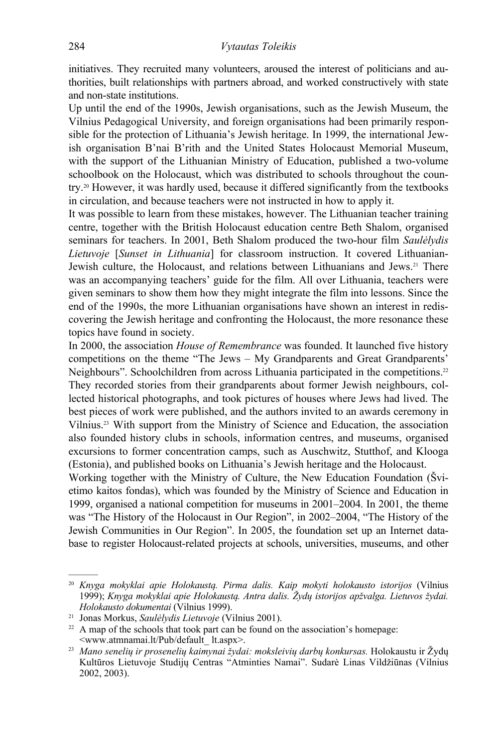initiatives. They recruited many volunteers, aroused the interest of politicians and authorities, built relationships with partners abroad, and worked constructively with state and non-state institutions.

Up until the end of the 1990s, Jewish organisations, such as the Jewish Museum, the Vilnius Pedagogical University, and foreign organisations had been primarily responsible for the protection of Lithuania's Jewish heritage. In 1999, the international Jewish organisation B'nai B'rith and the United States Holocaust Memorial Museum, with the support of the Lithuanian Ministry of Education, published a two-volume schoolbook on the Holocaust, which was distributed to schools throughout the country.20 However, it was hardly used, because it differed significantly from the textbooks in circulation, and because teachers were not instructed in how to apply it.

It was possible to learn from these mistakes, however. The Lithuanian teacher training centre, together with the British Holocaust education centre Beth Shalom, organised seminars for teachers. In 2001, Beth Shalom produced the two-hour film *Saulėlydis Lietuvoje* [*Sunset in Lithuania*] for classroom instruction. It covered Lithuanian-Jewish culture, the Holocaust, and relations between Lithuanians and Jews.<sup>21</sup> There was an accompanying teachers' guide for the film. All over Lithuania, teachers were given seminars to show them how they might integrate the film into lessons. Since the end of the 1990s, the more Lithuanian organisations have shown an interest in rediscovering the Jewish heritage and confronting the Holocaust, the more resonance these topics have found in society.

In 2000, the association *House of Remembrance* was founded. It launched five history competitions on the theme "The Jews – My Grandparents and Great Grandparents' Neighbours". Schoolchildren from across Lithuania participated in the competitions.<sup>22</sup> They recorded stories from their grandparents about former Jewish neighbours, collected historical photographs, and took pictures of houses where Jews had lived. The best pieces of work were published, and the authors invited to an awards ceremony in Vilnius.23 With support from the Ministry of Science and Education, the association also founded history clubs in schools, information centres, and museums, organised excursions to former concentration camps, such as Auschwitz, Stutthof, and Klooga (Estonia), and published books on Lithuania's Jewish heritage and the Holocaust.

Working together with the Ministry of Culture, the New Education Foundation (Švietimo kaitos fondas), which was founded by the Ministry of Science and Education in 1999, organised a national competition for museums in 2001–2004. In 2001, the theme was "The History of the Holocaust in Our Region", in 2002–2004, "The History of the Jewish Communities in Our Region". In 2005, the foundation set up an Internet database to register Holocaust-related projects at schools, universities, museums, and other

<sup>20</sup> *Knyga mokyklai apie Holokaustą. Pirma dalis. Kaip mokyti holokausto istorijos* (Vilnius 1999); *Knyga mokyklai apie Holokaustą. Antra dalis. Žydų istorijos apžvalga. Lietuvos žydai. Holokausto dokumentai* (Vilnius 1999).<br><sup>21</sup> Jonas Morkus, *Saulėlydis Lietuvoje* (Vilnius 2001).<br><sup>22</sup> A map of the schools that took part can be found on the association's homepage:

 <sup>&</sup>lt;www.atmnamai.lt/Pub/default\_ lt.aspx>. 23 *Mano senelių ir prosenelių kaimynai žydai: moksleivių darbų konkursas.* Holokaustu ir Žydų Kultūros Lietuvoje Studijų Centras "Atminties Namai". Sudarė Linas Vildžiūnas (Vilnius 2002, 2003).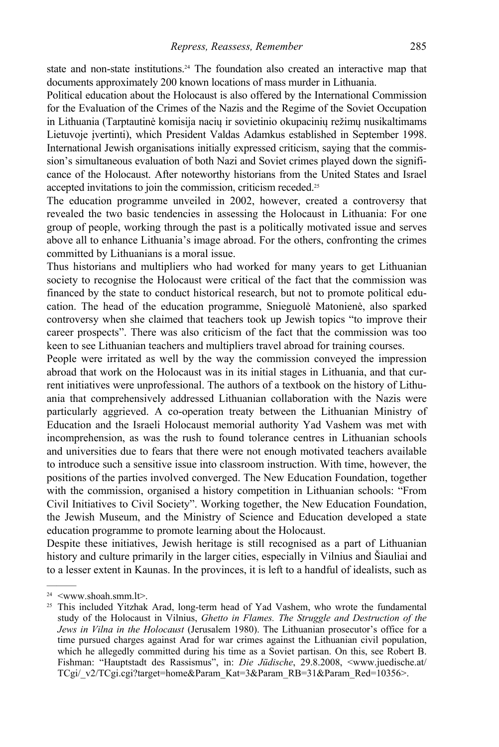state and non-state institutions.<sup>24</sup> The foundation also created an interactive map that documents approximately 200 known locations of mass murder in Lithuania.

Political education about the Holocaust is also offered by the International Commission for the Evaluation of the Crimes of the Nazis and the Regime of the Soviet Occupation in Lithuania (Tarptautinė komisija nacių ir sovietinio okupacinių režimų nusikaltimams Lietuvoje įvertinti), which President Valdas Adamkus established in September 1998. International Jewish organisations initially expressed criticism, saying that the commission's simultaneous evaluation of both Nazi and Soviet crimes played down the significance of the Holocaust. After noteworthy historians from the United States and Israel accepted invitations to join the commission, criticism receded.25

The education programme unveiled in 2002, however, created a controversy that revealed the two basic tendencies in assessing the Holocaust in Lithuania: For one group of people, working through the past is a politically motivated issue and serves above all to enhance Lithuania's image abroad. For the others, confronting the crimes committed by Lithuanians is a moral issue.

Thus historians and multipliers who had worked for many years to get Lithuanian society to recognise the Holocaust were critical of the fact that the commission was financed by the state to conduct historical research, but not to promote political education. The head of the education programme, Snieguolė Matonienė, also sparked controversy when she claimed that teachers took up Jewish topics "to improve their career prospects". There was also criticism of the fact that the commission was too keen to see Lithuanian teachers and multipliers travel abroad for training courses.

People were irritated as well by the way the commission conveyed the impression abroad that work on the Holocaust was in its initial stages in Lithuania, and that current initiatives were unprofessional. The authors of a textbook on the history of Lithuania that comprehensively addressed Lithuanian collaboration with the Nazis were particularly aggrieved. A co-operation treaty between the Lithuanian Ministry of Education and the Israeli Holocaust memorial authority Yad Vashem was met with incomprehension, as was the rush to found tolerance centres in Lithuanian schools and universities due to fears that there were not enough motivated teachers available to introduce such a sensitive issue into classroom instruction. With time, however, the positions of the parties involved converged. The New Education Foundation, together with the commission, organised a history competition in Lithuanian schools: "From Civil Initiatives to Civil Society". Working together, the New Education Foundation, the Jewish Museum, and the Ministry of Science and Education developed a state education programme to promote learning about the Holocaust.

Despite these initiatives, Jewish heritage is still recognised as a part of Lithuanian history and culture primarily in the larger cities, especially in Vilnius and Šiauliai and to a lesser extent in Kaunas. In the provinces, it is left to a handful of idealists, such as

 $24 \leq$ www.shoah.smm.lt>.

<sup>&</sup>lt;sup>25</sup> This included Yitzhak Arad, long-term head of Yad Vashem, who wrote the fundamental study of the Holocaust in Vilnius, *Ghetto in Flames. The Struggle and Destruction of the Jews in Vilna in the Holocaust* (Jerusalem 1980). The Lithuanian prosecutor's office for a time pursued charges against Arad for war crimes against the Lithuanian civil population, which he allegedly committed during his time as a Soviet partisan. On this, see Robert B. Fishman: "Hauptstadt des Rassismus", in: *Die Jüdische*, 29.8.2008, <www.juedische.at/ TCgi/\_v2/TCgi.cgi?target=home&Param\_Kat=3&Param\_RB=31&Param\_Red=10356>.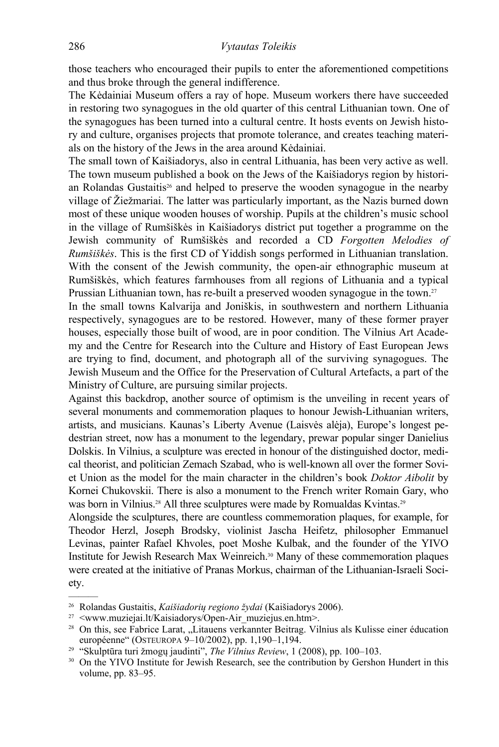those teachers who encouraged their pupils to enter the aforementioned competitions and thus broke through the general indifference.

The Kėdainiai Museum offers a ray of hope. Museum workers there have succeeded in restoring two synagogues in the old quarter of this central Lithuanian town. One of the synagogues has been turned into a cultural centre. It hosts events on Jewish history and culture, organises projects that promote tolerance, and creates teaching materials on the history of the Jews in the area around Kėdainiai.

The small town of Kaišiadorys, also in central Lithuania, has been very active as well. The town museum published a book on the Jews of the Kaišiadorys region by historian Rolandas Gustaitis<sup>26</sup> and helped to preserve the wooden synagogue in the nearby village of Žiežmariai. The latter was particularly important, as the Nazis burned down most of these unique wooden houses of worship. Pupils at the children's music school in the village of Rumšiškės in Kaišiadorys district put together a programme on the Jewish community of Rumšiškės and recorded a CD *Forgotten Melodies of Rumšiškės*. This is the first CD of Yiddish songs performed in Lithuanian translation. With the consent of the Jewish community, the open-air ethnographic museum at Rumšiškės, which features farmhouses from all regions of Lithuania and a typical Prussian Lithuanian town, has re-built a preserved wooden synagogue in the town.<sup>27</sup>

In the small towns Kalvarija and Joniškis, in southwestern and northern Lithuania respectively, synagogues are to be restored. However, many of these former prayer houses, especially those built of wood, are in poor condition. The Vilnius Art Academy and the Centre for Research into the Culture and History of East European Jews are trying to find, document, and photograph all of the surviving synagogues. The Jewish Museum and the Office for the Preservation of Cultural Artefacts, a part of the Ministry of Culture, are pursuing similar projects.

Against this backdrop, another source of optimism is the unveiling in recent years of several monuments and commemoration plaques to honour Jewish-Lithuanian writers, artists, and musicians. Kaunas's Liberty Avenue (Laisvės alėja), Europe's longest pedestrian street, now has a monument to the legendary, prewar popular singer Danielius Dolskis. In Vilnius, a sculpture was erected in honour of the distinguished doctor, medical theorist, and politician Zemach Szabad, who is well-known all over the former Soviet Union as the model for the main character in the children's book *Doktor Aibolit* by Kornei Chukovskii. There is also a monument to the French writer Romain Gary, who was born in Vilnius.<sup>28</sup> All three sculptures were made by Romualdas Kvintas.<sup>29</sup>

Alongside the sculptures, there are countless commemoration plaques, for example, for Theodor Herzl, Joseph Brodsky, violinist Jascha Heifetz, philosopher Emmanuel Levinas, painter Rafael Khvoles, poet Moshe Kulbak, and the founder of the YIVO Institute for Jewish Research Max Weinreich.30 Many of these commemoration plaques were created at the initiative of Pranas Morkus, chairman of the Lithuanian-Israeli Society.

<sup>&</sup>lt;sup>26</sup> Rolandas Gustaitis, *Kaišiadorių regiono žydai* (Kaišiadorys 2006).<br><sup>27</sup> <www.muziejai.lt/Kaisiadorys/Open-Air\_muziejus.en.htm>.<br><sup>28</sup> On this, see Fabrice Larat, "Litauens verkannter Beitrag. Vilnius als Kulisse eine européenne" (OSTEUROPA 9–10/2002), pp. 1,190–1,194.<br><sup>29</sup> "Skulptūra turi žmogų jaudinti", *The Vilnius Review*, 1 (2008), pp. 100–103.<br><sup>30</sup> On the YIVO Institute for Jewish Research, see the contribution by Gershon Hunder

volume, pp. 83–95.